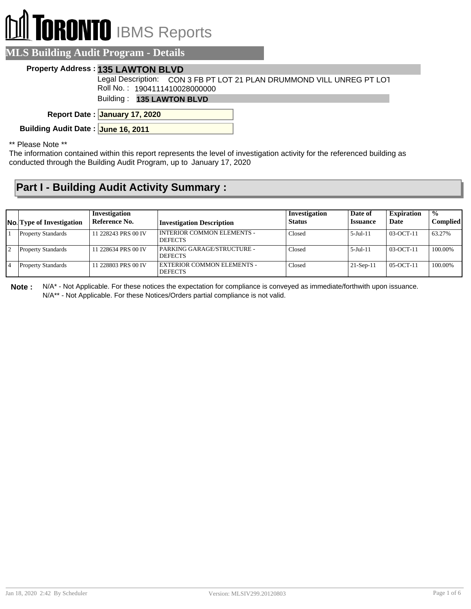# **RONTO** IBMS Reports

#### **MLS Building Audit Program - Details**

#### **Property Address : 135 LAWTON BLVD**

Legal Description: CON 3 FB PT LOT 21 PLAN DRUMMOND VILL UNREG PT LOT Roll No. : 1904111410028000000

Building : **135 LAWTON BLVD**

**January 17, 2020 Report Date :**

**Building Audit Date : June 16, 2011**

\*\* Please Note \*\*

The information contained within this report represents the level of investigation activity for the referenced building as conducted through the Building Audit Program, up to January 17, 2020

### **Part I - Building Audit Activity Summary :**

| <b>No.</b> Type of Investigation | Investigation<br>Reference No. | <b>Investigation Description</b>               | Investigation<br><b>Status</b> | Date of<br><b>Issuance</b> | <b>Expiration</b><br>Date | $\frac{1}{2}$<br><b>Complied</b> |
|----------------------------------|--------------------------------|------------------------------------------------|--------------------------------|----------------------------|---------------------------|----------------------------------|
| <b>Property Standards</b>        | 11 228243 PRS 00 IV            | I INTERIOR COMMON ELEMENTS -<br><b>DEFECTS</b> | Closed                         | $5$ -Jul-11                | 03-OCT-11                 | 63.27%                           |
| <b>Property Standards</b>        | 11 228634 PRS 00 IV            | PARKING GARAGE/STRUCTURE -<br><b>DEFECTS</b>   | Closed                         | $5$ -Jul-11                | 03-OCT-11                 | 100.00%                          |
| <b>Property Standards</b>        | 11 228803 PRS 00 IV            | EXTERIOR COMMON ELEMENTS -<br><b>DEFECTS</b>   | Closed                         | $21-Sep-11$                | $05-9CT-11$               | 100.00%                          |

**Note :** N/A\* - Not Applicable. For these notices the expectation for compliance is conveyed as immediate/forthwith upon issuance. N/A\*\* - Not Applicable. For these Notices/Orders partial compliance is not valid.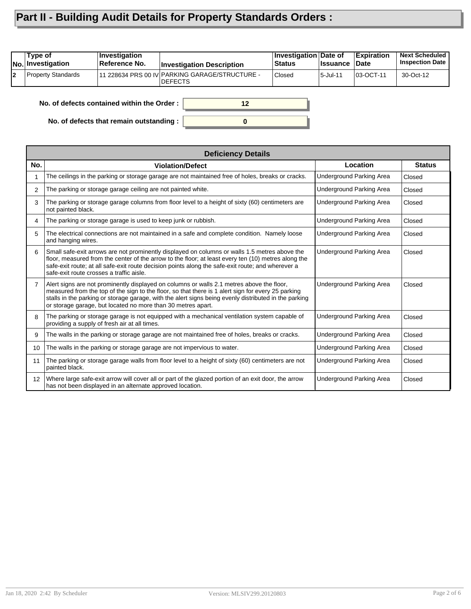## **Part II - Building Audit Details for Property Standards Orders :**

| 11 228634 PRS 00 IV PARKING GARAGE/STRUCTURE -<br>Property Standards<br>Closed<br>5-Jul-11 | Tvpe of<br><b>INo.</b> Investigation | <b>Investigation</b><br>Reference No. | <b>Investigation Description</b> | Investigation Date of<br><b>Status</b> | <b>Issuance</b> | <b>Expiration</b><br><b>Date</b> | <b>Next Scheduled</b><br><b>Inspection Date</b> |
|--------------------------------------------------------------------------------------------|--------------------------------------|---------------------------------------|----------------------------------|----------------------------------------|-----------------|----------------------------------|-------------------------------------------------|
| <b>DEFECTS</b>                                                                             |                                      |                                       |                                  |                                        |                 | 03-OCT-11                        | 30-Oct-12                                       |

**0**

**12**

**No. of defects contained within the Order :**

**No. of defects that remain outstanding :**

|                 | <b>Deficiency Details</b>                                                                                                                                                                                                                                                                                                                                                |                                 |               |  |  |  |  |
|-----------------|--------------------------------------------------------------------------------------------------------------------------------------------------------------------------------------------------------------------------------------------------------------------------------------------------------------------------------------------------------------------------|---------------------------------|---------------|--|--|--|--|
| No.             | <b>Violation/Defect</b>                                                                                                                                                                                                                                                                                                                                                  | Location                        | <b>Status</b> |  |  |  |  |
|                 | The ceilings in the parking or storage garage are not maintained free of holes, breaks or cracks.                                                                                                                                                                                                                                                                        | Underground Parking Area        | Closed        |  |  |  |  |
| 2               | The parking or storage garage ceiling are not painted white.                                                                                                                                                                                                                                                                                                             | Underground Parking Area        | Closed        |  |  |  |  |
| 3               | The parking or storage garage columns from floor level to a height of sixty (60) centimeters are<br>not painted black.                                                                                                                                                                                                                                                   | Underground Parking Area        | Closed        |  |  |  |  |
| $\overline{4}$  | The parking or storage garage is used to keep junk or rubbish.                                                                                                                                                                                                                                                                                                           | Underground Parking Area        | Closed        |  |  |  |  |
| 5               | The electrical connections are not maintained in a safe and complete condition. Namely loose<br>and hanging wires.                                                                                                                                                                                                                                                       | Underground Parking Area        | Closed        |  |  |  |  |
| 6               | Small safe-exit arrows are not prominently displayed on columns or walls 1.5 metres above the<br>floor, measured from the center of the arrow to the floor; at least every ten (10) metres along the<br>safe-exit route; at all safe-exit route decision points along the safe-exit route; and wherever a<br>safe-exit route crosses a traffic aisle.                    | Underground Parking Area        | Closed        |  |  |  |  |
| $\overline{7}$  | Alert signs are not prominently displayed on columns or walls 2.1 metres above the floor,<br>measured from the top of the sign to the floor, so that there is 1 alert sign for every 25 parking<br>stalls in the parking or storage garage, with the alert signs being evenly distributed in the parking<br>or storage garage, but located no more than 30 metres apart. | <b>Underground Parking Area</b> | Closed        |  |  |  |  |
| 8               | The parking or storage garage is not equipped with a mechanical ventilation system capable of<br>providing a supply of fresh air at all times.                                                                                                                                                                                                                           | <b>Underground Parking Area</b> | Closed        |  |  |  |  |
| 9               | The walls in the parking or storage garage are not maintained free of holes, breaks or cracks.                                                                                                                                                                                                                                                                           | Underground Parking Area        | Closed        |  |  |  |  |
| 10              | The walls in the parking or storage garage are not impervious to water.                                                                                                                                                                                                                                                                                                  | Underground Parking Area        | Closed        |  |  |  |  |
| 11              | The parking or storage garage walls from floor level to a height of sixty (60) centimeters are not<br>painted black.                                                                                                                                                                                                                                                     | Underground Parking Area        | Closed        |  |  |  |  |
| 12 <sup>2</sup> | Where large safe-exit arrow will cover all or part of the glazed portion of an exit door, the arrow<br>has not been displayed in an alternate approved location.                                                                                                                                                                                                         | Underground Parking Area        | Closed        |  |  |  |  |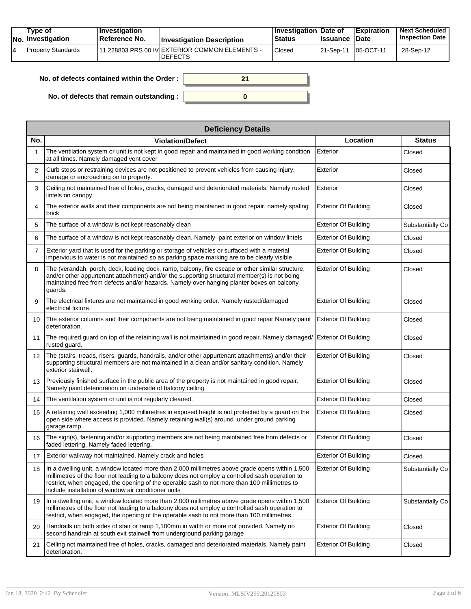|  | Tvpe of<br>$ No $ Investigation | <b>Investigation</b><br><b>∣Reference No.</b> | <b>Investigation Description</b>                                  | <b>Investigation Date of</b><br><b>Status</b> | <b>Issuance Date</b> | <b>Expiration</b> | <b>Next Scheduled</b><br><b>Inspection Date</b> |
|--|---------------------------------|-----------------------------------------------|-------------------------------------------------------------------|-----------------------------------------------|----------------------|-------------------|-------------------------------------------------|
|  | Property Standards              |                                               | 111 228803 PRS 00 IV EXTERIOR COMMON ELEMENTS -<br><b>DEFECTS</b> | Closed                                        | l 21-Sep-11          | 105-OCT-11        | 28-Sep-12                                       |

| No. of defects contained within the Order:       |  |
|--------------------------------------------------|--|
| No. of defects that remain outstanding : $\vert$ |  |

| <b>Deficiency Details</b> |                                                                                                                                                                                                                                                                                                                                                             |                             |                  |  |  |  |  |
|---------------------------|-------------------------------------------------------------------------------------------------------------------------------------------------------------------------------------------------------------------------------------------------------------------------------------------------------------------------------------------------------------|-----------------------------|------------------|--|--|--|--|
| No.                       | <b>Violation/Defect</b>                                                                                                                                                                                                                                                                                                                                     | Location                    | <b>Status</b>    |  |  |  |  |
|                           | The ventilation system or unit is not kept in good repair and maintained in good working condition<br>at all times. Namely damaged vent cover                                                                                                                                                                                                               | Exterior                    | Closed           |  |  |  |  |
| 2                         | Curb stops or restraining devices are not positioned to prevent vehicles from causing injury,<br>damage or encroaching on to property.                                                                                                                                                                                                                      | Exterior                    | Closed           |  |  |  |  |
| 3                         | Ceiling not maintained free of holes, cracks, damaged and deteriorated materials. Namely rusted<br>lintels on canopy                                                                                                                                                                                                                                        | Exterior                    | Closed           |  |  |  |  |
| 4                         | The exterior walls and their components are not being maintained in good repair, namely spallng<br>brick                                                                                                                                                                                                                                                    | <b>Exterior Of Building</b> | Closed           |  |  |  |  |
| 5                         | The surface of a window is not kept reasonably clean                                                                                                                                                                                                                                                                                                        | <b>Exterior Of Building</b> | Substantially Co |  |  |  |  |
| 6                         | The surface of a window is not kept reasonably clean. Namely paint exterior on window lintels                                                                                                                                                                                                                                                               | <b>Exterior Of Building</b> | Closed           |  |  |  |  |
| 7                         | Exterior yard that is used for the parking or storage of vehicles or surfaced with a material<br>impervious to water is not maintained so as parking space marking are to be clearly visible.                                                                                                                                                               | <b>Exterior Of Building</b> | Closed           |  |  |  |  |
| 8                         | The (verandah, porch, deck, loading dock, ramp, balcony, fire escape or other similar structure,<br>and/or other appurtenant attachment) and/or the supporting structural member(s) is not being<br>maintained free from defects and/or hazards. Namely over hanging planter boxes on balcony<br>guards.                                                    | <b>Exterior Of Building</b> | Closed           |  |  |  |  |
| 9                         | The electrical fixtures are not maintained in good working order. Namely rusted/damaged<br>electrical fixture.                                                                                                                                                                                                                                              | <b>Exterior Of Building</b> | Closed           |  |  |  |  |
| 10                        | The exterior columns and their components are not being maintained in good repair Namely paint<br>deterioration.                                                                                                                                                                                                                                            | <b>Exterior Of Building</b> | Closed           |  |  |  |  |
| 11                        | The required guard on top of the retaining wall is not maintained in good repair. Namely damaged/<br>rusted guard.                                                                                                                                                                                                                                          | <b>Exterior Of Building</b> | Closed           |  |  |  |  |
| 12                        | The (stairs, treads, risers, guards, handrails, and/or other appurtenant attachments) and/or their<br>supporting structural members are not maintained in a clean and/or sanitary condition. Namely<br>exterior stairwell.                                                                                                                                  | <b>Exterior Of Building</b> | Closed           |  |  |  |  |
| 13                        | Previously finished surface in the public area of the property is not maintained in good repair.<br>Namely paint deterioration on underside of balcony ceiling.                                                                                                                                                                                             | <b>Exterior Of Building</b> | Closed           |  |  |  |  |
| 14                        | The ventilation system or unit is not regularly cleaned.                                                                                                                                                                                                                                                                                                    | <b>Exterior Of Building</b> | Closed           |  |  |  |  |
| 15                        | A retaining wall exceeding 1,000 millimetres in exposed height is not protected by a guard on the<br>open side where access is provided. Namely retaining wall(s) around under ground parking<br>garage ramp.                                                                                                                                               | <b>Exterior Of Building</b> | Closed           |  |  |  |  |
| 16                        | The sign(s), fastening and/or supporting members are not being maintained free from defects or<br>faded lettering. Namely faded lettering.                                                                                                                                                                                                                  | <b>Exterior Of Building</b> | Closed           |  |  |  |  |
| 17                        | Exterior walkway not maintained. Namely crack and holes                                                                                                                                                                                                                                                                                                     | <b>Exterior Of Building</b> | Closed           |  |  |  |  |
| 18                        | In a dwelling unit, a window located more than 2,000 millimetres above grade opens within 1,500<br>millimetres of the floor not leading to a balcony does not employ a controlled sash operation to<br>restrict, when engaged, the opening of the operable sash to not more than 100 millimetres to<br>include installation of window air conditioner units | <b>Exterior Of Building</b> | Substantially Co |  |  |  |  |
| 19                        | In a dwelling unit, a window located more than 2,000 millimetres above grade opens within 1,500<br>millimetres of the floor not leading to a balcony does not employ a controlled sash operation to<br>restrict, when engaged, the opening of the operable sash to not more than 100 millimetres.                                                           | <b>Exterior Of Building</b> | Substantially Co |  |  |  |  |
| 20                        | Handrails on both sides of stair or ramp 1,100mm in width or more not provided. Namely no<br>second handrain at south exit stairwell from underground parking garage                                                                                                                                                                                        | <b>Exterior Of Building</b> | Closed           |  |  |  |  |
| 21                        | Ceiling not maintained free of holes, cracks, damaged and deteriorated materials. Namely paint<br>deterioration.                                                                                                                                                                                                                                            | <b>Exterior Of Building</b> | Closed           |  |  |  |  |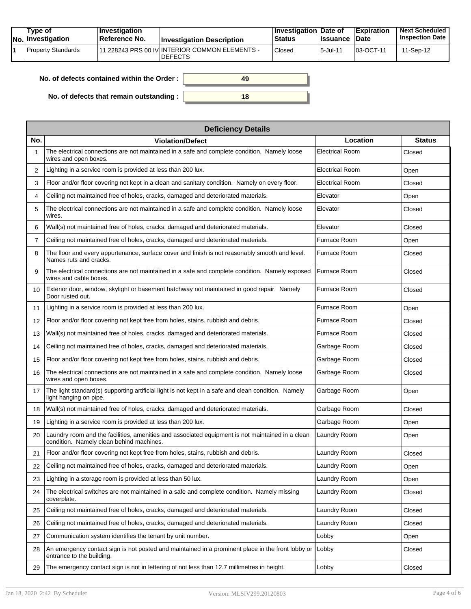| Tvpe of<br>No. Investigation | $\blacksquare$ Investigation<br>Reference No. | <b>Investigation Description</b>                                | <b>∐nvestigation Date of</b><br><b>Status</b> | <b>Issuance</b> | <b>Expiration</b><br>Date | <b>Next Scheduled</b><br><b>Inspection Date</b> |
|------------------------------|-----------------------------------------------|-----------------------------------------------------------------|-----------------------------------------------|-----------------|---------------------------|-------------------------------------------------|
| Property Standards           |                                               | 1 228243 PRS 00 IV INTERIOR COMMON ELEMENTS -<br><b>DEFECTS</b> | Closed                                        | 5-Jul-11        | 03-OCT-11                 | 11-Sep-12                                       |

| . of defects contained within the Order :       |  |
|-------------------------------------------------|--|
| No. of defects that remain outstanding : $\mid$ |  |

|                | <b>Deficiency Details</b>                                                                                                                    |                        |               |  |  |  |  |  |  |
|----------------|----------------------------------------------------------------------------------------------------------------------------------------------|------------------------|---------------|--|--|--|--|--|--|
| No.            | <b>Violation/Defect</b>                                                                                                                      | Location               | <b>Status</b> |  |  |  |  |  |  |
| 1              | The electrical connections are not maintained in a safe and complete condition. Namely loose<br>wires and open boxes.                        | <b>Electrical Room</b> | Closed        |  |  |  |  |  |  |
| 2              | Lighting in a service room is provided at less than 200 lux.                                                                                 | <b>Electrical Room</b> | Open          |  |  |  |  |  |  |
| 3              | Floor and/or floor covering not kept in a clean and sanitary condition. Namely on every floor.                                               | <b>Electrical Room</b> | Closed        |  |  |  |  |  |  |
| 4              | Ceiling not maintained free of holes, cracks, damaged and deteriorated materials.                                                            | Elevator               | Open          |  |  |  |  |  |  |
| 5              | The electrical connections are not maintained in a safe and complete condition. Namely loose<br>wires.                                       | Elevator               | Closed        |  |  |  |  |  |  |
| 6              | Wall(s) not maintained free of holes, cracks, damaged and deteriorated materials.                                                            | Elevator               | Closed        |  |  |  |  |  |  |
| $\overline{7}$ | Ceiling not maintained free of holes, cracks, damaged and deteriorated materials.                                                            | Furnace Room           | Open          |  |  |  |  |  |  |
| 8              | The floor and every appurtenance, surface cover and finish is not reasonably smooth and level.<br>Names ruts and cracks.                     | Furnace Room           | Closed        |  |  |  |  |  |  |
| 9              | The electrical connections are not maintained in a safe and complete condition. Namely exposed<br>wires and cable boxes.                     | Furnace Room           | Closed        |  |  |  |  |  |  |
| 10             | Exterior door, window, skylight or basement hatchway not maintained in good repair. Namely<br>Door rusted out.                               | Furnace Room           | Closed        |  |  |  |  |  |  |
| 11             | Lighting in a service room is provided at less than 200 lux.                                                                                 | Furnace Room           | Open          |  |  |  |  |  |  |
| 12             | Floor and/or floor covering not kept free from holes, stains, rubbish and debris.                                                            | Furnace Room           | Closed        |  |  |  |  |  |  |
| 13             | Wall(s) not maintained free of holes, cracks, damaged and deteriorated materials.                                                            | Furnace Room           | Closed        |  |  |  |  |  |  |
| 14             | Ceiling not maintained free of holes, cracks, damaged and deteriorated materials.                                                            | Garbage Room           | Closed        |  |  |  |  |  |  |
| 15             | Floor and/or floor covering not kept free from holes, stains, rubbish and debris.                                                            | Garbage Room           | Closed        |  |  |  |  |  |  |
| 16             | The electrical connections are not maintained in a safe and complete condition. Namely loose<br>wires and open boxes.                        | Garbage Room           | Closed        |  |  |  |  |  |  |
| 17             | The light standard(s) supporting artificial light is not kept in a safe and clean condition. Namely<br>light hanging on pipe.                | Garbage Room           | Open          |  |  |  |  |  |  |
| 18             | Wall(s) not maintained free of holes, cracks, damaged and deteriorated materials.                                                            | Garbage Room           | Closed        |  |  |  |  |  |  |
| 19             | Lighting in a service room is provided at less than 200 lux.                                                                                 | Garbage Room           | Open          |  |  |  |  |  |  |
| 20             | Laundry room and the facilities, amenities and associated equipment is not maintained in a clean<br>condition. Namely clean behind machines. | Laundry Room           | Open          |  |  |  |  |  |  |
| 21             | Floor and/or floor covering not kept free from holes, stains, rubbish and debris.                                                            | Laundry Room           | Closed        |  |  |  |  |  |  |
| 22             | Ceiling not maintained free of holes, cracks, damaged and deteriorated materials.                                                            | Laundry Room           | Open          |  |  |  |  |  |  |
| 23             | Lighting in a storage room is provided at less than 50 lux.                                                                                  | Laundry Room           | Open          |  |  |  |  |  |  |
| 24             | The electrical switches are not maintained in a safe and complete condition. Namely missing<br>coverplate.                                   | Laundry Room           | Closed        |  |  |  |  |  |  |
| 25             | Ceiling not maintained free of holes, cracks, damaged and deteriorated materials.                                                            | Laundry Room           | Closed        |  |  |  |  |  |  |
| 26             | Ceiling not maintained free of holes, cracks, damaged and deteriorated materials.                                                            | Laundry Room           | Closed        |  |  |  |  |  |  |
| 27             | Communication system identifies the tenant by unit number.                                                                                   | Lobby                  | Open          |  |  |  |  |  |  |
| 28             | An emergency contact sign is not posted and maintained in a prominent place in the front lobby or<br>entrance to the building.               | Lobby                  | Closed        |  |  |  |  |  |  |
| 29             | The emergency contact sign is not in lettering of not less than 12.7 millimetres in height.                                                  | Lobby                  | Closed        |  |  |  |  |  |  |

**No. of**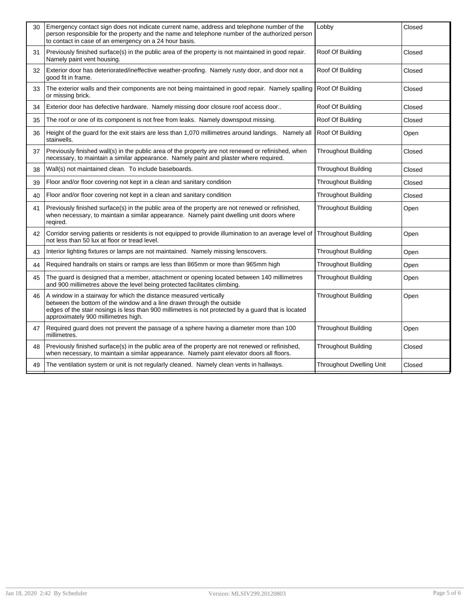| 30 | Emergency contact sign does not indicate current name, address and telephone number of the<br>person responsible for the property and the name and telephone number of the authorized person<br>to contact in case of an emergency on a 24 hour basis.                                   | Lobby                           | Closed |
|----|------------------------------------------------------------------------------------------------------------------------------------------------------------------------------------------------------------------------------------------------------------------------------------------|---------------------------------|--------|
| 31 | Previously finished surface(s) in the public area of the property is not maintained in good repair.<br>Namely paint vent housing.                                                                                                                                                        | Roof Of Building                | Closed |
| 32 | Exterior door has deteriorated/ineffective weather-proofing. Namely rusty door, and door not a<br>good fit in frame.                                                                                                                                                                     | Roof Of Building                | Closed |
| 33 | The exterior walls and their components are not being maintained in good repair. Namely spalling<br>or missing brick.                                                                                                                                                                    | Roof Of Building                | Closed |
| 34 | Exterior door has defective hardware. Namely missing door closure roof access door                                                                                                                                                                                                       | Roof Of Building                | Closed |
| 35 | The roof or one of its component is not free from leaks. Namely downspout missing.                                                                                                                                                                                                       | Roof Of Building                | Closed |
| 36 | Height of the guard for the exit stairs are less than 1,070 millimetres around landings. Namely all<br>stairwells.                                                                                                                                                                       | Roof Of Building                | Open   |
| 37 | Previously finished wall(s) in the public area of the property are not renewed or refinished, when<br>necessary, to maintain a similar appearance. Namely paint and plaster where required.                                                                                              | <b>Throughout Building</b>      | Closed |
| 38 | Wall(s) not maintained clean. To include baseboards.                                                                                                                                                                                                                                     | <b>Throughout Building</b>      | Closed |
| 39 | Floor and/or floor covering not kept in a clean and sanitary condition                                                                                                                                                                                                                   | <b>Throughout Building</b>      | Closed |
| 40 | Floor and/or floor covering not kept in a clean and sanitary condition                                                                                                                                                                                                                   | <b>Throughout Building</b>      | Closed |
| 41 | Previously finished surface(s) in the public area of the property are not renewed or refinished,<br>when necessary, to maintain a similar appearance. Namely paint dwelling unit doors where<br>regired.                                                                                 | <b>Throughout Building</b>      | Open   |
| 42 | Corridor serving patients or residents is not equipped to provide illumination to an average level of<br>not less than 50 lux at floor or tread level.                                                                                                                                   | <b>Throughout Building</b>      | Open   |
| 43 | Interior lighting fixtures or lamps are not maintained. Namely missing lenscovers.                                                                                                                                                                                                       | <b>Throughout Building</b>      | Open   |
| 44 | Required handrails on stairs or ramps are less than 865mm or more than 965mm high                                                                                                                                                                                                        | <b>Throughout Building</b>      | Open   |
| 45 | The guard is designed that a member, attachment or opening located between 140 millimetres<br>and 900 millimetres above the level being protected facilitates climbing.                                                                                                                  | <b>Throughout Building</b>      | Open   |
| 46 | A window in a stairway for which the distance measured vertically<br>between the bottom of the window and a line drawn through the outside<br>edges of the stair nosings is less than 900 millimetres is not protected by a guard that is located<br>approximately 900 millimetres high. | <b>Throughout Building</b>      | Open   |
| 47 | Required guard does not prevent the passage of a sphere having a diameter more than 100<br>millimetres.                                                                                                                                                                                  | <b>Throughout Building</b>      | Open   |
| 48 | Previously finished surface(s) in the public area of the property are not renewed or refinished,<br>when necessary, to maintain a similar appearance. Namely paint elevator doors all floors.                                                                                            | <b>Throughout Building</b>      | Closed |
| 49 | The ventilation system or unit is not regularly cleaned. Namely clean vents in hallways.                                                                                                                                                                                                 | <b>Throughout Dwelling Unit</b> | Closed |
|    |                                                                                                                                                                                                                                                                                          |                                 |        |